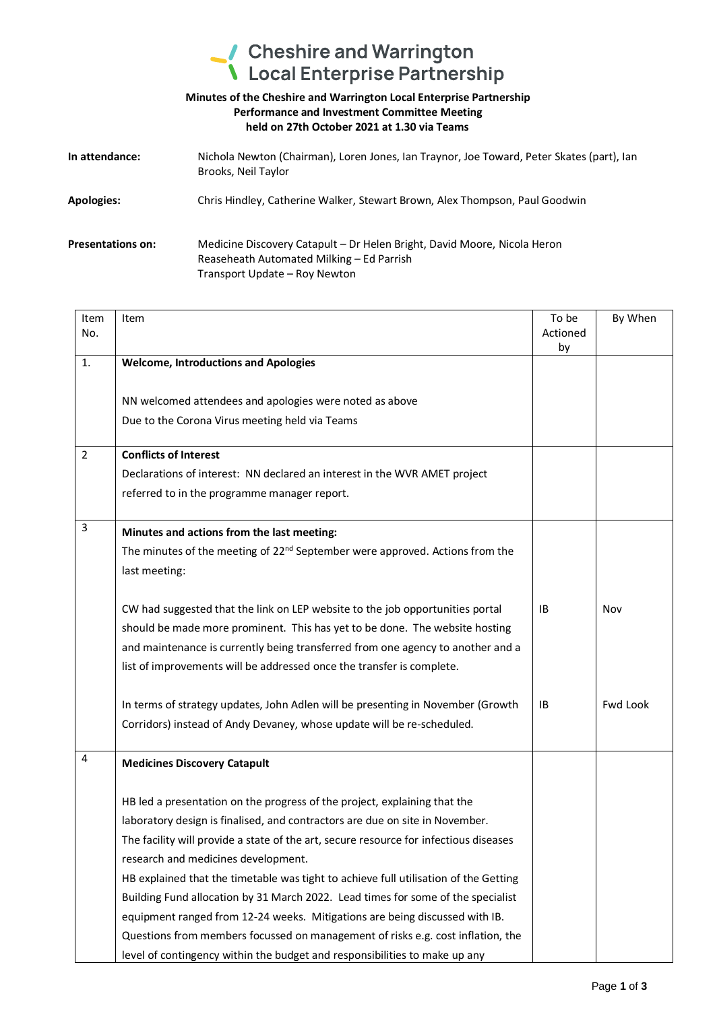## Cheshire and Warrington<br>
Local Enterprise Partnership

## **Minutes of the Cheshire and Warrington Local Enterprise Partnership Performance and Investment Committee Meeting held on 27th October 2021 at 1.30 via Teams**

| In attendance:           | Nichola Newton (Chairman), Loren Jones, Ian Traynor, Joe Toward, Peter Skates (part), Ian<br>Brooks, Neil Taylor                                       |
|--------------------------|--------------------------------------------------------------------------------------------------------------------------------------------------------|
| <b>Apologies:</b>        | Chris Hindley, Catherine Walker, Stewart Brown, Alex Thompson, Paul Goodwin                                                                            |
| <b>Presentations on:</b> | Medicine Discovery Catapult – Dr Helen Bright, David Moore, Nicola Heron<br>Reaseheath Automated Milking - Ed Parrish<br>Transport Update - Roy Newton |

| Item<br>No. | Item                                                                                     | To be<br>Actioned<br>by | By When         |
|-------------|------------------------------------------------------------------------------------------|-------------------------|-----------------|
| 1.          | <b>Welcome, Introductions and Apologies</b>                                              |                         |                 |
|             |                                                                                          |                         |                 |
|             | NN welcomed attendees and apologies were noted as above                                  |                         |                 |
|             | Due to the Corona Virus meeting held via Teams                                           |                         |                 |
| 2           | <b>Conflicts of Interest</b>                                                             |                         |                 |
|             | Declarations of interest: NN declared an interest in the WVR AMET project                |                         |                 |
|             | referred to in the programme manager report.                                             |                         |                 |
| 3           | Minutes and actions from the last meeting:                                               |                         |                 |
|             | The minutes of the meeting of 22 <sup>nd</sup> September were approved. Actions from the |                         |                 |
|             | last meeting:                                                                            |                         |                 |
|             | CW had suggested that the link on LEP website to the job opportunities portal            | ΙB                      | Nov             |
|             | should be made more prominent. This has yet to be done. The website hosting              |                         |                 |
|             | and maintenance is currently being transferred from one agency to another and a          |                         |                 |
|             | list of improvements will be addressed once the transfer is complete.                    |                         |                 |
|             | In terms of strategy updates, John Adlen will be presenting in November (Growth          | IB                      | <b>Fwd Look</b> |
|             | Corridors) instead of Andy Devaney, whose update will be re-scheduled.                   |                         |                 |
| 4           | <b>Medicines Discovery Catapult</b>                                                      |                         |                 |
|             | HB led a presentation on the progress of the project, explaining that the                |                         |                 |
|             | laboratory design is finalised, and contractors are due on site in November.             |                         |                 |
|             | The facility will provide a state of the art, secure resource for infectious diseases    |                         |                 |
|             | research and medicines development.                                                      |                         |                 |
|             | HB explained that the timetable was tight to achieve full utilisation of the Getting     |                         |                 |
|             | Building Fund allocation by 31 March 2022. Lead times for some of the specialist         |                         |                 |
|             | equipment ranged from 12-24 weeks. Mitigations are being discussed with IB.              |                         |                 |
|             | Questions from members focussed on management of risks e.g. cost inflation, the          |                         |                 |
|             | level of contingency within the budget and responsibilities to make up any               |                         |                 |